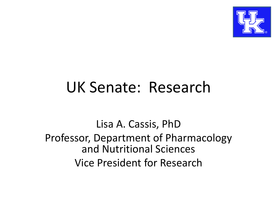

## UK Senate: Research

Lisa A. Cassis, PhD Professor, Department of Pharmacology and Nutritional Sciences Vice President for Research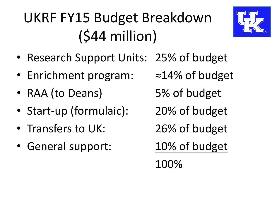## UKRF FY15 Budget Breakdown (\$44 million)



- Research Support Units: 25% of budget
- Enrichment program: ≈14% of budget
- RAA (to Deans) 5% of budget
- Start-up (formulaic): 20% of budget
- Transfers to UK: 26% of budget
- General support: 10% of budget
- 
- 
- 
- 
- 

100%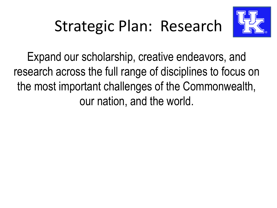# Strategic Plan: Research



Expand our scholarship, creative endeavors, and research across the full range of disciplines to focus on the most important challenges of the Commonwealth, our nation, and the world.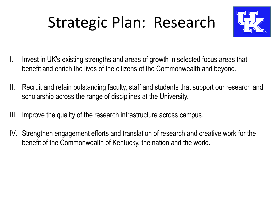# Strategic Plan: Research



- I. Invest in UK's existing strengths and areas of growth in selected focus areas that benefit and enrich the lives of the citizens of the Commonwealth and beyond.
- II. Recruit and retain outstanding faculty, staff and students that support our research and scholarship across the range of disciplines at the University.
- III. Improve the quality of the research infrastructure across campus.
- IV. Strengthen engagement efforts and translation of research and creative work for the benefit of the Commonwealth of Kentucky, the nation and the world.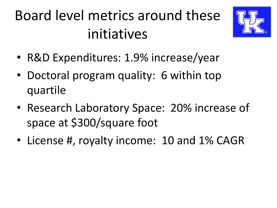## Board level metrics around these initiatives



- R&D Expenditures: 1.9% increase/year
- Doctoral program quality: 6 within top quartile
- Research Laboratory Space: 20% increase of space at \$300/square foot
- License #, royalty income: 10 and 1% CAGR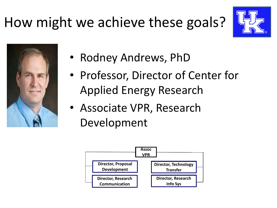



- Rodney Andrews, PhD
- Professor, Director of Center for Applied Energy Research
- Associate VPR, Research Development

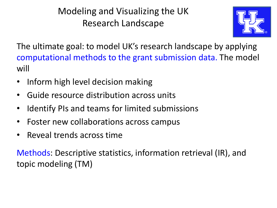Modeling and Visualizing the UK Research Landscape



The ultimate goal: to model UK's research landscape by applying computational methods to the grant submission data. The model will

- Inform high level decision making
- Guide resource distribution across units
- Identify PIs and teams for limited submissions
- Foster new collaborations across campus
- Reveal trends across time

Methods: Descriptive statistics, information retrieval (IR), and topic modeling (TM)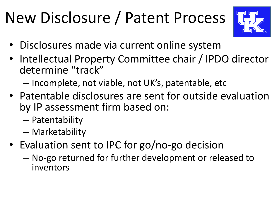# New Disclosure / Patent Process



- Disclosures made via current online system
- Intellectual Property Committee chair / IPDO director determine "track"
	- Incomplete, not viable, not UK's, patentable, etc
- Patentable disclosures are sent for outside evaluation by IP assessment firm based on:
	- Patentability
	- Marketability
- Evaluation sent to IPC for go/no-go decision
	- No-go returned for further development or released to inventors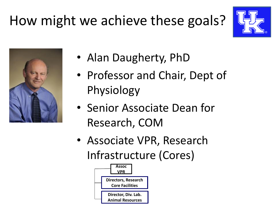



- Alan Daugherty, PhD
- Professor and Chair, Dept of Physiology
- Senior Associate Dean for Research, COM
- Associate VPR, Research Infrastructure (Cores)

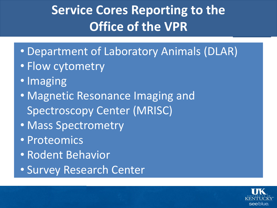#### **Service Cores Reporting to the Office of the VPR**

- Department of Laboratory Animals (DLAR)
- Flow cytometry
- Imaging
- Magnetic Resonance Imaging and Spectroscopy Center (MRISC)
- Mass Spectrometry
- Proteomics
- Rodent Behavior
- Survey Research Center

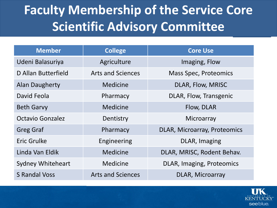#### **Faculty Membership of the Service Core Scientific Advisory Committee**

| <b>Member</b>            | <b>College</b>           | <b>Core Use</b>              |
|--------------------------|--------------------------|------------------------------|
| Udeni Balasuriya         | Agriculture              | Imaging, Flow                |
| D Allan Butterfield      | <b>Arts and Sciences</b> | <b>Mass Spec, Proteomics</b> |
| <b>Alan Daugherty</b>    | Medicine                 | DLAR, Flow, MRISC            |
| David Feola              | Pharmacy                 | DLAR, Flow, Transgenic       |
| <b>Beth Garvy</b>        | Medicine                 | Flow, DLAR                   |
| <b>Octavio Gonzalez</b>  | Dentistry                | Microarray                   |
| <b>Greg Graf</b>         | Pharmacy                 | DLAR, Microarray, Proteomics |
| Eric Grulke              | Engineering              | DLAR, Imaging                |
| Linda Van Eldik          | <b>Medicine</b>          | DLAR, MRISC, Rodent Behav.   |
| <b>Sydney Whiteheart</b> | <b>Medicine</b>          | DLAR, Imaging, Proteomics    |
| <b>S Randal Voss</b>     | <b>Arts and Sciences</b> | <b>DLAR, Microarray</b>      |

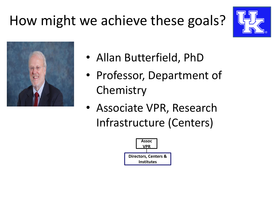



- Allan Butterfield, PhD
- Professor, Department of **Chemistry**
- Associate VPR, Research Infrastructure (Centers)

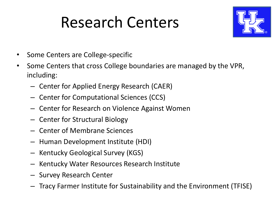## Research Centers



- Some Centers are College-specific
- Some Centers that cross College boundaries are managed by the VPR, including:
	- Center for Applied Energy Research (CAER)
	- Center for Computational Sciences (CCS)
	- Center for Research on Violence Against Women
	- Center for Structural Biology
	- Center of Membrane Sciences
	- Human Development Institute (HDI)
	- Kentucky Geological Survey (KGS)
	- Kentucky Water Resources Research Institute
	- Survey Research Center
	- Tracy Farmer Institute for Sustainability and the Environment (TFISE)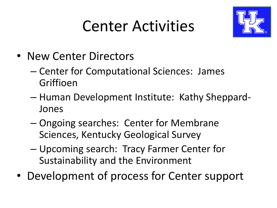## Center Activities



- New Center Directors
	- Center for Computational Sciences: James Griffioen
	- Human Development Institute: Kathy Sheppard-Jones
	- Ongoing searches: Center for Membrane Sciences, Kentucky Geological Survey
	- Upcoming search: Tracy Farmer Center for Sustainability and the Environment
- Development of process for Center support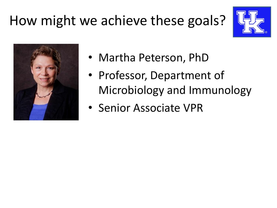



- Martha Peterson, PhD
- Professor, Department of Microbiology and Immunology
- Senior Associate VPR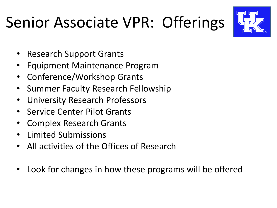# Senior Associate VPR: Offerings



- Research Support Grants
- Equipment Maintenance Program
- Conference/Workshop Grants
- Summer Faculty Research Fellowship
- University Research Professors
- Service Center Pilot Grants
- Complex Research Grants
- Limited Submissions
- All activities of the Offices of Research
- Look for changes in how these programs will be offered